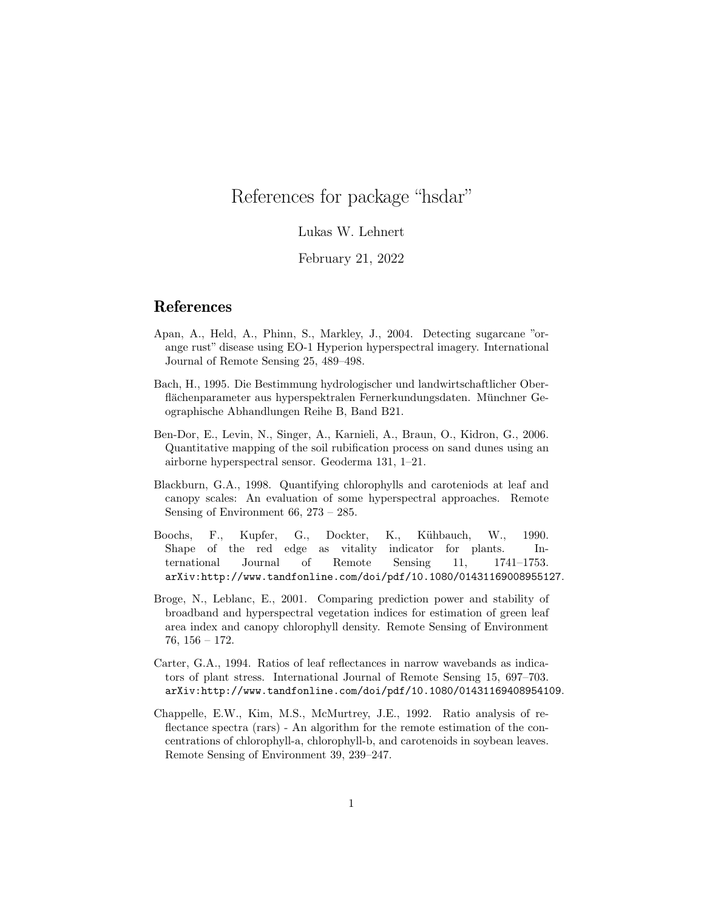## References for package "hsdar"

## Lukas W. Lehnert

## February 21, 2022

## References

- Apan, A., Held, A., Phinn, S., Markley, J., 2004. Detecting sugarcane "orange rust" disease using EO-1 Hyperion hyperspectral imagery. International Journal of Remote Sensing 25, 489–498.
- Bach, H., 1995. Die Bestimmung hydrologischer und landwirtschaftlicher Oberflächenparameter aus hyperspektralen Fernerkundungsdaten. Münchner Geographische Abhandlungen Reihe B, Band B21.
- Ben-Dor, E., Levin, N., Singer, A., Karnieli, A., Braun, O., Kidron, G., 2006. Quantitative mapping of the soil rubification process on sand dunes using an airborne hyperspectral sensor. Geoderma 131, 1–21.
- Blackburn, G.A., 1998. Quantifying chlorophylls and caroteniods at leaf and canopy scales: An evaluation of some hyperspectral approaches. Remote Sensing of Environment 66, 273 – 285.
- Boochs, F., Kupfer, G., Dockter, K., Kühbauch, W., 1990. Shape of the red edge as vitality indicator for plants. International Journal of Remote Sensing 11, 1741–1753. arXiv:http://www.tandfonline.com/doi/pdf/10.1080/01431169008955127.
- Broge, N., Leblanc, E., 2001. Comparing prediction power and stability of broadband and hyperspectral vegetation indices for estimation of green leaf area index and canopy chlorophyll density. Remote Sensing of Environment 76, 156 – 172.
- Carter, G.A., 1994. Ratios of leaf reflectances in narrow wavebands as indicators of plant stress. International Journal of Remote Sensing 15, 697–703. arXiv:http://www.tandfonline.com/doi/pdf/10.1080/01431169408954109.
- Chappelle, E.W., Kim, M.S., McMurtrey, J.E., 1992. Ratio analysis of reflectance spectra (rars) - An algorithm for the remote estimation of the concentrations of chlorophyll-a, chlorophyll-b, and carotenoids in soybean leaves. Remote Sensing of Environment 39, 239–247.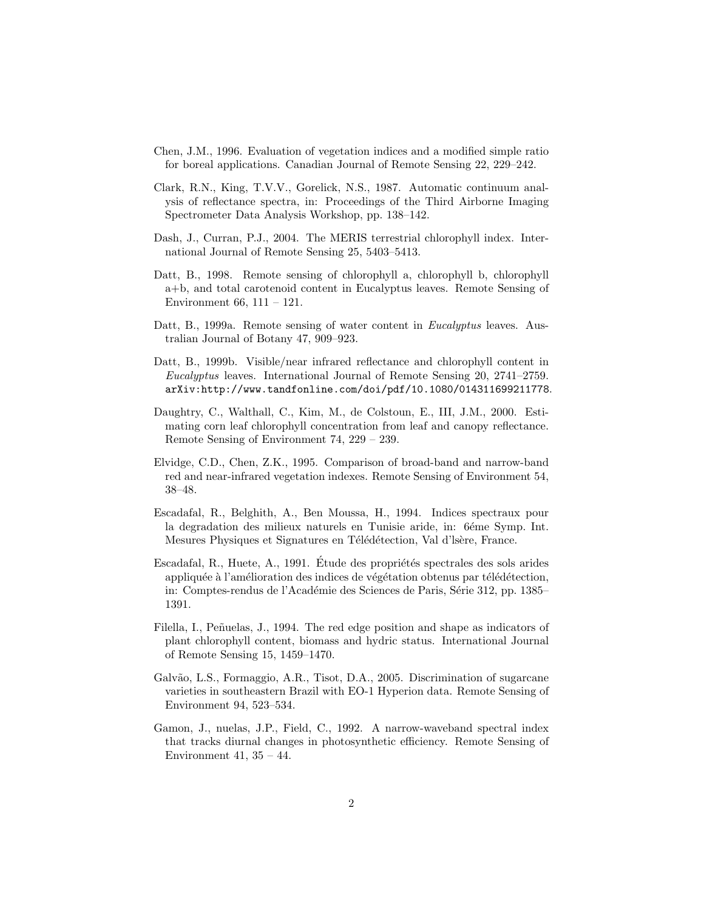- Chen, J.M., 1996. Evaluation of vegetation indices and a modified simple ratio for boreal applications. Canadian Journal of Remote Sensing 22, 229–242.
- Clark, R.N., King, T.V.V., Gorelick, N.S., 1987. Automatic continuum analysis of reflectance spectra, in: Proceedings of the Third Airborne Imaging Spectrometer Data Analysis Workshop, pp. 138–142.
- Dash, J., Curran, P.J., 2004. The MERIS terrestrial chlorophyll index. International Journal of Remote Sensing 25, 5403–5413.
- Datt, B., 1998. Remote sensing of chlorophyll a, chlorophyll b, chlorophyll a+b, and total carotenoid content in Eucalyptus leaves. Remote Sensing of Environment 66, 111 – 121.
- Datt, B., 1999a. Remote sensing of water content in *Eucalyptus* leaves. Australian Journal of Botany 47, 909–923.
- Datt, B., 1999b. Visible/near infrared reflectance and chlorophyll content in Eucalyptus leaves. International Journal of Remote Sensing 20, 2741–2759. arXiv:http://www.tandfonline.com/doi/pdf/10.1080/014311699211778.
- Daughtry, C., Walthall, C., Kim, M., de Colstoun, E., III, J.M., 2000. Estimating corn leaf chlorophyll concentration from leaf and canopy reflectance. Remote Sensing of Environment 74, 229 – 239.
- Elvidge, C.D., Chen, Z.K., 1995. Comparison of broad-band and narrow-band red and near-infrared vegetation indexes. Remote Sensing of Environment 54, 38–48.
- Escadafal, R., Belghith, A., Ben Moussa, H., 1994. Indices spectraux pour la degradation des milieux naturels en Tunisie aride, in: 6éme Symp. Int. Mesures Physiques et Signatures en Télédétection, Val d'Isère, France.
- Escadafal, R., Huete, A., 1991. Etude des propriétés spectrales des sols arides appliquée à l'amélioration des indices de végétation obtenus par télédétection, in: Comptes-rendus de l'Académie des Sciences de Paris, Série 312, pp. 1385– 1391.
- Filella, I., Peñuelas, J., 1994. The red edge position and shape as indicators of plant chlorophyll content, biomass and hydric status. International Journal of Remote Sensing 15, 1459–1470.
- Galvão, L.S., Formaggio, A.R., Tisot, D.A., 2005. Discrimination of sugarcane varieties in southeastern Brazil with EO-1 Hyperion data. Remote Sensing of Environment 94, 523–534.
- Gamon, J., nuelas, J.P., Field, C., 1992. A narrow-waveband spectral index that tracks diurnal changes in photosynthetic efficiency. Remote Sensing of Environment 41,  $35 - 44$ .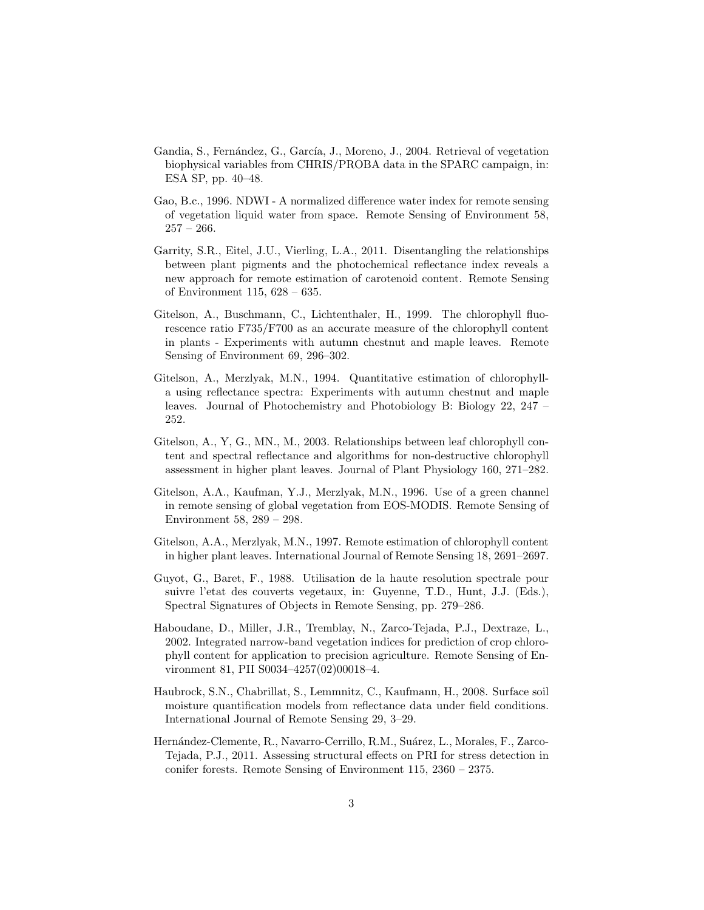- Gandia, S., Fernández, G., García, J., Moreno, J., 2004. Retrieval of vegetation biophysical variables from CHRIS/PROBA data in the SPARC campaign, in: ESA SP, pp. 40–48.
- Gao, B.c., 1996. NDWI A normalized difference water index for remote sensing of vegetation liquid water from space. Remote Sensing of Environment 58,  $257 - 266.$
- Garrity, S.R., Eitel, J.U., Vierling, L.A., 2011. Disentangling the relationships between plant pigments and the photochemical reflectance index reveals a new approach for remote estimation of carotenoid content. Remote Sensing of Environment 115, 628 – 635.
- Gitelson, A., Buschmann, C., Lichtenthaler, H., 1999. The chlorophyll fluorescence ratio F735/F700 as an accurate measure of the chlorophyll content in plants - Experiments with autumn chestnut and maple leaves. Remote Sensing of Environment 69, 296–302.
- Gitelson, A., Merzlyak, M.N., 1994. Quantitative estimation of chlorophylla using reflectance spectra: Experiments with autumn chestnut and maple leaves. Journal of Photochemistry and Photobiology B: Biology 22, 247 – 252.
- Gitelson, A., Y, G., MN., M., 2003. Relationships between leaf chlorophyll content and spectral reflectance and algorithms for non-destructive chlorophyll assessment in higher plant leaves. Journal of Plant Physiology 160, 271–282.
- Gitelson, A.A., Kaufman, Y.J., Merzlyak, M.N., 1996. Use of a green channel in remote sensing of global vegetation from EOS-MODIS. Remote Sensing of Environment 58, 289 – 298.
- Gitelson, A.A., Merzlyak, M.N., 1997. Remote estimation of chlorophyll content in higher plant leaves. International Journal of Remote Sensing 18, 2691–2697.
- Guyot, G., Baret, F., 1988. Utilisation de la haute resolution spectrale pour suivre l'etat des couverts vegetaux, in: Guyenne, T.D., Hunt, J.J. (Eds.), Spectral Signatures of Objects in Remote Sensing, pp. 279–286.
- Haboudane, D., Miller, J.R., Tremblay, N., Zarco-Tejada, P.J., Dextraze, L., 2002. Integrated narrow-band vegetation indices for prediction of crop chlorophyll content for application to precision agriculture. Remote Sensing of Environment 81, PII S0034–4257(02)00018–4.
- Haubrock, S.N., Chabrillat, S., Lemmnitz, C., Kaufmann, H., 2008. Surface soil moisture quantification models from reflectance data under field conditions. International Journal of Remote Sensing 29, 3–29.
- Hernández-Clemente, R., Navarro-Cerrillo, R.M., Suárez, L., Morales, F., Zarco-Tejada, P.J., 2011. Assessing structural effects on PRI for stress detection in conifer forests. Remote Sensing of Environment 115, 2360 – 2375.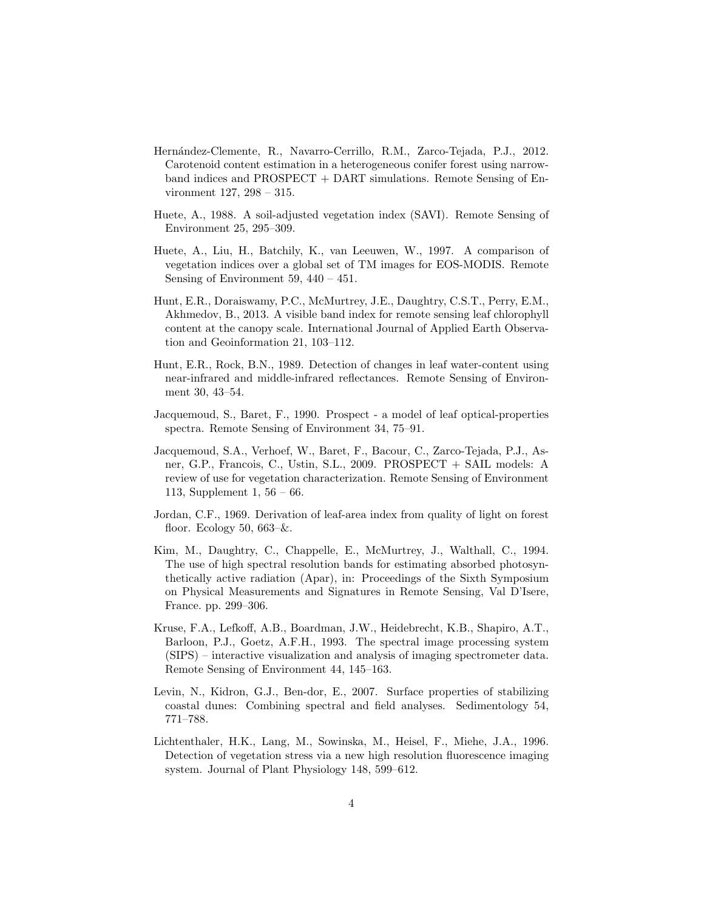- Hernández-Clemente, R., Navarro-Cerrillo, R.M., Zarco-Tejada, P.J., 2012. Carotenoid content estimation in a heterogeneous conifer forest using narrowband indices and PROSPECT + DART simulations. Remote Sensing of Environment 127, 298 – 315.
- Huete, A., 1988. A soil-adjusted vegetation index (SAVI). Remote Sensing of Environment 25, 295–309.
- Huete, A., Liu, H., Batchily, K., van Leeuwen, W., 1997. A comparison of vegetation indices over a global set of TM images for EOS-MODIS. Remote Sensing of Environment  $59, 440 - 451$ .
- Hunt, E.R., Doraiswamy, P.C., McMurtrey, J.E., Daughtry, C.S.T., Perry, E.M., Akhmedov, B., 2013. A visible band index for remote sensing leaf chlorophyll content at the canopy scale. International Journal of Applied Earth Observation and Geoinformation 21, 103–112.
- Hunt, E.R., Rock, B.N., 1989. Detection of changes in leaf water-content using near-infrared and middle-infrared reflectances. Remote Sensing of Environment 30, 43–54.
- Jacquemoud, S., Baret, F., 1990. Prospect a model of leaf optical-properties spectra. Remote Sensing of Environment 34, 75–91.
- Jacquemoud, S.A., Verhoef, W., Baret, F., Bacour, C., Zarco-Tejada, P.J., Asner, G.P., Francois, C., Ustin, S.L., 2009. PROSPECT + SAIL models: A review of use for vegetation characterization. Remote Sensing of Environment 113, Supplement 1, 56 – 66.
- Jordan, C.F., 1969. Derivation of leaf-area index from quality of light on forest floor. Ecology 50,  $663-\&$ .
- Kim, M., Daughtry, C., Chappelle, E., McMurtrey, J., Walthall, C., 1994. The use of high spectral resolution bands for estimating absorbed photosynthetically active radiation (Apar), in: Proceedings of the Sixth Symposium on Physical Measurements and Signatures in Remote Sensing, Val D'Isere, France. pp. 299–306.
- Kruse, F.A., Lefkoff, A.B., Boardman, J.W., Heidebrecht, K.B., Shapiro, A.T., Barloon, P.J., Goetz, A.F.H., 1993. The spectral image processing system (SIPS) – interactive visualization and analysis of imaging spectrometer data. Remote Sensing of Environment 44, 145–163.
- Levin, N., Kidron, G.J., Ben-dor, E., 2007. Surface properties of stabilizing coastal dunes: Combining spectral and field analyses. Sedimentology 54, 771–788.
- Lichtenthaler, H.K., Lang, M., Sowinska, M., Heisel, F., Miehe, J.A., 1996. Detection of vegetation stress via a new high resolution fluorescence imaging system. Journal of Plant Physiology 148, 599–612.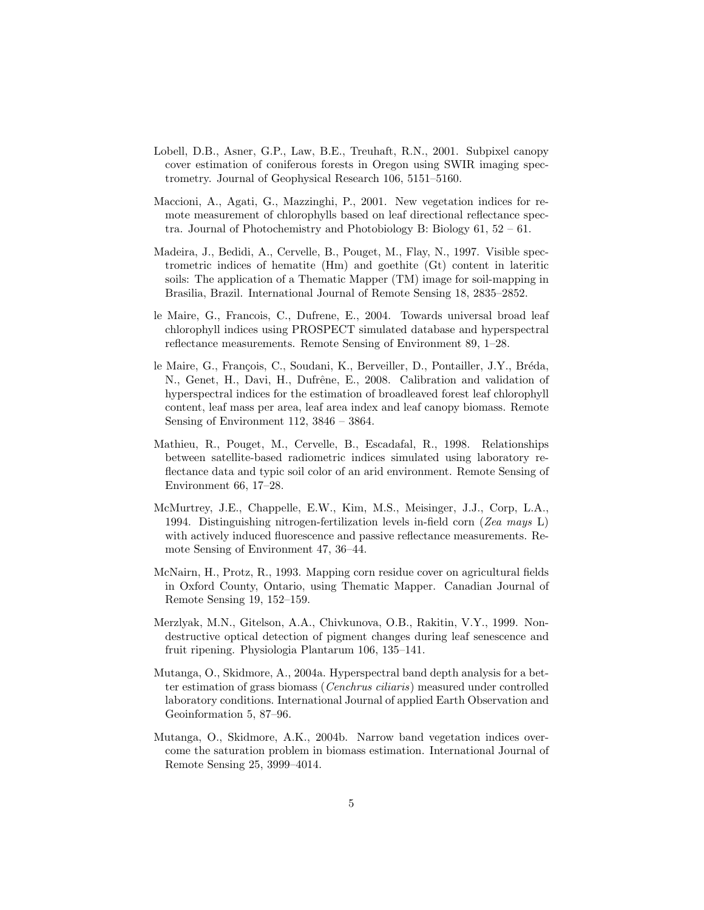- Lobell, D.B., Asner, G.P., Law, B.E., Treuhaft, R.N., 2001. Subpixel canopy cover estimation of coniferous forests in Oregon using SWIR imaging spectrometry. Journal of Geophysical Research 106, 5151–5160.
- Maccioni, A., Agati, G., Mazzinghi, P., 2001. New vegetation indices for remote measurement of chlorophylls based on leaf directional reflectance spectra. Journal of Photochemistry and Photobiology B: Biology 61, 52 – 61.
- Madeira, J., Bedidi, A., Cervelle, B., Pouget, M., Flay, N., 1997. Visible spectrometric indices of hematite (Hm) and goethite (Gt) content in lateritic soils: The application of a Thematic Mapper (TM) image for soil-mapping in Brasilia, Brazil. International Journal of Remote Sensing 18, 2835–2852.
- le Maire, G., Francois, C., Dufrene, E., 2004. Towards universal broad leaf chlorophyll indices using PROSPECT simulated database and hyperspectral reflectance measurements. Remote Sensing of Environment 89, 1–28.
- le Maire, G., François, C., Soudani, K., Berveiller, D., Pontailler, J.Y., Bréda, N., Genet, H., Davi, H., Dufrêne, E., 2008. Calibration and validation of hyperspectral indices for the estimation of broadleaved forest leaf chlorophyll content, leaf mass per area, leaf area index and leaf canopy biomass. Remote Sensing of Environment 112, 3846 – 3864.
- Mathieu, R., Pouget, M., Cervelle, B., Escadafal, R., 1998. Relationships between satellite-based radiometric indices simulated using laboratory reflectance data and typic soil color of an arid environment. Remote Sensing of Environment 66, 17–28.
- McMurtrey, J.E., Chappelle, E.W., Kim, M.S., Meisinger, J.J., Corp, L.A., 1994. Distinguishing nitrogen-fertilization levels in-field corn (Zea mays L) with actively induced fluorescence and passive reflectance measurements. Remote Sensing of Environment 47, 36–44.
- McNairn, H., Protz, R., 1993. Mapping corn residue cover on agricultural fields in Oxford County, Ontario, using Thematic Mapper. Canadian Journal of Remote Sensing 19, 152–159.
- Merzlyak, M.N., Gitelson, A.A., Chivkunova, O.B., Rakitin, V.Y., 1999. Nondestructive optical detection of pigment changes during leaf senescence and fruit ripening. Physiologia Plantarum 106, 135–141.
- Mutanga, O., Skidmore, A., 2004a. Hyperspectral band depth analysis for a better estimation of grass biomass (Cenchrus ciliaris) measured under controlled laboratory conditions. International Journal of applied Earth Observation and Geoinformation 5, 87–96.
- Mutanga, O., Skidmore, A.K., 2004b. Narrow band vegetation indices overcome the saturation problem in biomass estimation. International Journal of Remote Sensing 25, 3999–4014.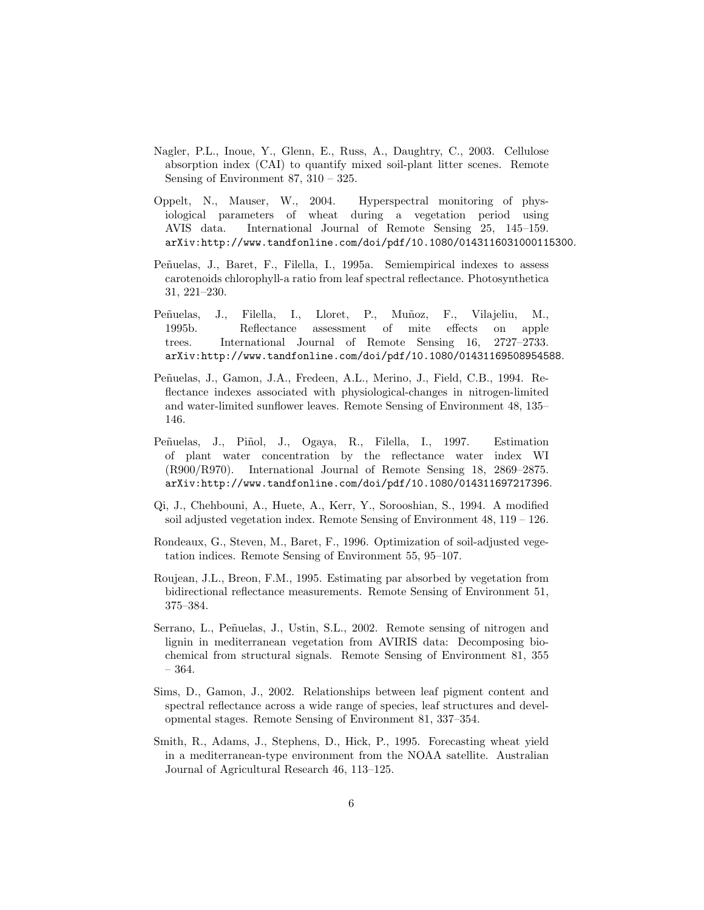- Nagler, P.L., Inoue, Y., Glenn, E., Russ, A., Daughtry, C., 2003. Cellulose absorption index (CAI) to quantify mixed soil-plant litter scenes. Remote Sensing of Environment 87, 310 – 325.
- Oppelt, N., Mauser, W., 2004. Hyperspectral monitoring of physiological parameters of wheat during a vegetation period using AVIS data. International Journal of Remote Sensing 25, 145–159. arXiv:http://www.tandfonline.com/doi/pdf/10.1080/0143116031000115300.
- Peñuelas, J., Baret, F., Filella, I., 1995a. Semiempirical indexes to assess carotenoids chlorophyll-a ratio from leaf spectral reflectance. Photosynthetica 31, 221–230.
- Peñuelas, J., Filella, I., Lloret, P., Muñoz, F., Vilajeliu, M., 1995b. Reflectance assessment of mite effects on apple trees. International Journal of Remote Sensing 16, 2727–2733. arXiv:http://www.tandfonline.com/doi/pdf/10.1080/01431169508954588.
- Peñuelas, J., Gamon, J.A., Fredeen, A.L., Merino, J., Field, C.B., 1994. Reflectance indexes associated with physiological-changes in nitrogen-limited and water-limited sunflower leaves. Remote Sensing of Environment 48, 135– 146.
- Peñuelas, J., Piñol, J., Ogaya, R., Filella, I., 1997. Estimation of plant water concentration by the reflectance water index WI (R900/R970). International Journal of Remote Sensing 18, 2869–2875. arXiv:http://www.tandfonline.com/doi/pdf/10.1080/014311697217396.
- Qi, J., Chehbouni, A., Huete, A., Kerr, Y., Sorooshian, S., 1994. A modified soil adjusted vegetation index. Remote Sensing of Environment  $48$ ,  $119 - 126$ .
- Rondeaux, G., Steven, M., Baret, F., 1996. Optimization of soil-adjusted vegetation indices. Remote Sensing of Environment 55, 95–107.
- Roujean, J.L., Breon, F.M., 1995. Estimating par absorbed by vegetation from bidirectional reflectance measurements. Remote Sensing of Environment 51, 375–384.
- Serrano, L., Peñuelas, J., Ustin, S.L., 2002. Remote sensing of nitrogen and lignin in mediterranean vegetation from AVIRIS data: Decomposing biochemical from structural signals. Remote Sensing of Environment 81, 355 – 364.
- Sims, D., Gamon, J., 2002. Relationships between leaf pigment content and spectral reflectance across a wide range of species, leaf structures and developmental stages. Remote Sensing of Environment 81, 337–354.
- Smith, R., Adams, J., Stephens, D., Hick, P., 1995. Forecasting wheat yield in a mediterranean-type environment from the NOAA satellite. Australian Journal of Agricultural Research 46, 113–125.